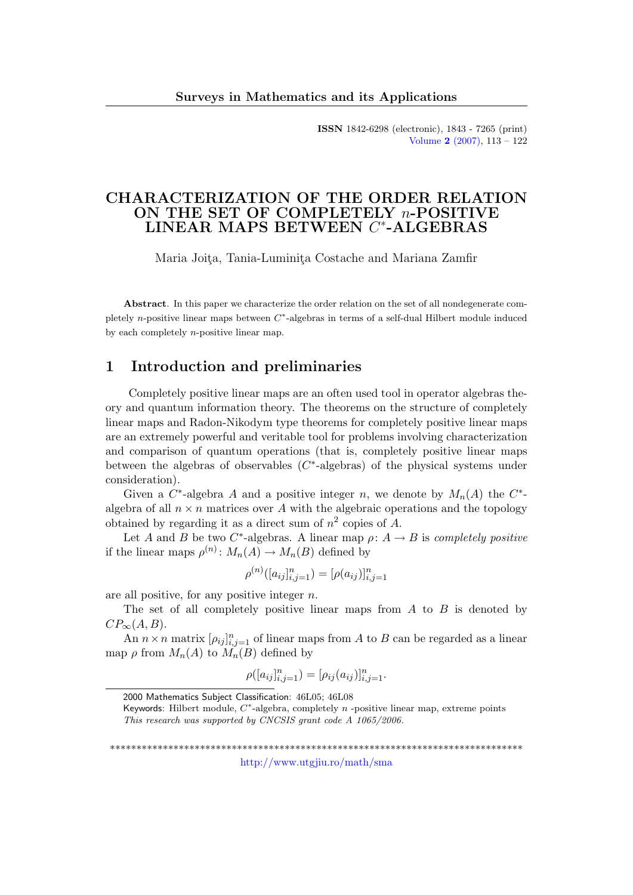ISSN 1842-6298 (electronic), 1843 - 7265 (print) [Volume](http://www.utgjiu.ro/math/sma/v02/v02.html) 2 (2007), 113 – 122

## CHARACTERIZATION OF THE ORDER RELATION ON THE SET OF COMPLETELY n-POSITIVE LINEAR MAPS BETWEEN  $C^*$ -ALGEBRAS

Maria Joita, Tania-Luminita Costache and Mariana Zamfir

Abstract. In this paper we characterize the order relation on the set of all nondegenerate completely n-positive linear maps between  $C^*$ -algebras in terms of a self-dual Hilbert module induced by each completely n-positive linear map.

## 1 Introduction and preliminaries

Completely positive linear maps are an often used tool in operator algebras theory and quantum information theory. The theorems on the structure of completely linear maps and Radon-Nikodym type theorems for completely positive linear maps are an extremely powerful and veritable tool for problems involving characterization and comparison of quantum operations (that is, completely positive linear maps between the algebras of observables  $(C^*$ -algebras) of the physical systems under consideration).

Given a  $C^*$ -algebra A and a positive integer n, we denote by  $M_n(A)$  the  $C^*$ algebra of all  $n \times n$  matrices over A with the algebraic operations and the topology obtained by regarding it as a direct sum of  $n^2$  copies of A.

Let A and B be two C<sup>\*</sup>-algebras. A linear map  $\rho: A \to B$  is completely positive if the linear maps  $\rho^{(n)}: M_n(A) \to M_n(B)$  defined by

$$
\rho^{(n)}([a_{ij}]_{i,j=1}^n) = [\rho(a_{ij})]_{i,j=1}^n
$$

are all positive, for any positive integer  $n$ .

The set of all completely positive linear maps from  $A$  to  $B$  is denoted by  $CP_{\infty}(A, B).$ 

An  $n \times n$  matrix  $[\rho_{ij}]_{i,j=1}^n$  of linear maps from A to B can be regarded as a linear map  $\rho$  from  $M_n(A)$  to  $M_n(B)$  defined by

$$
\rho([a_{ij}]_{i,j=1}^n) = [\rho_{ij}(a_{ij})]_{i,j=1}^n.
$$

\*\*\*\*\*\*\*\*\*\*\*\*\*\*\*\*\*\*\*\*\*\*\*\*\*\*\*\*\*\*\*\*\*\*\*\*\*\*\*\*\*\*\*\*\*\*\*\*\*\*\*\*\*\*\*\*\*\*\*\*\*\*\*\*\*\*\*\*\*\*\*\*\*\*\*\*\*\*

<http://www.utgjiu.ro/math/sma>

<sup>2000</sup> Mathematics Subject Classification: 46L05; 46L08

Keywords: Hilbert module,  $C^*$ -algebra, completely  $n$  -positive linear map, extreme points This research was supported by CNCSIS grant code A 1065/2006.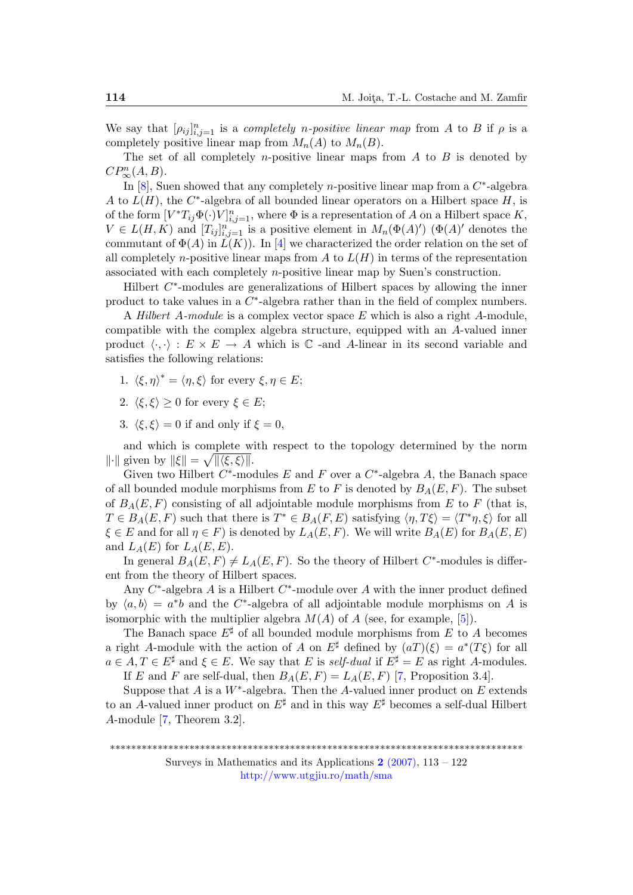We say that  $[\rho_{ij}]_{i,j=1}^n$  is a *completely n-positive linear map* from A to B if  $\rho$  is a completely positive linear map from  $M_n(A)$  to  $M_n(B)$ .

The set of all completely *n*-positive linear maps from  $A$  to  $B$  is denoted by  $CP_\infty^n(A, B)$ .

In  $[8]$ , Suen showed that any completely *n*-positive linear map from a  $C^*$ -algebra A to  $L(H)$ , the C<sup>\*</sup>-algebra of all bounded linear operators on a Hilbert space H, is of the form  $[V^*T_{ij}\Phi(\cdot)V]_{i,j=1}^n$ , where  $\Phi$  is a representation of A on a Hilbert space K,  $V \in L(H, K)$  and  $[T_{ij}]_{i,j=1}^n$  is a positive element in  $M_n(\Phi(A)')$  ( $\Phi(A)'$ ) denotes the commutant of  $\Phi(A)$  in  $\tilde{L}(K)$ ). In [\[4\]](#page-9-1) we characterized the order relation on the set of all completely *n*-positive linear maps from A to  $L(H)$  in terms of the representation associated with each completely n-positive linear map by Suen's construction.

Hilbert  $C^*$ -modules are generalizations of Hilbert spaces by allowing the inner product to take values in a  $C^*$ -algebra rather than in the field of complex numbers.

A *Hilbert A-module* is a complex vector space E which is also a right A-module, compatible with the complex algebra structure, equipped with an A-valued inner product  $\langle \cdot, \cdot \rangle : E \times E \to A$  which is  $\mathbb{C}$  -and A-linear in its second variable and satisfies the following relations:

- 1.  $\langle \xi, \eta \rangle^* = \langle \eta, \xi \rangle$  for every  $\xi, \eta \in E;$
- 2.  $\langle \xi, \xi \rangle \geq 0$  for every  $\xi \in E$ ;
- 3.  $\langle \xi, \xi \rangle = 0$  if and only if  $\xi = 0$ ,

and which is complete with respect to the topology determined by the norm  $\|\cdot\|$  given by  $\|\xi\| = \sqrt{\|\langle \xi, \xi \rangle\|}$ .

Given two Hilbert  $C^*$ -modules E and F over a  $C^*$ -algebra A, the Banach space of all bounded module morphisms from E to F is denoted by  $B_A(E, F)$ . The subset of  $B_A(E, F)$  consisting of all adjointable module morphisms from E to F (that is,  $T \in B_A(E, F)$  such that there is  $T^* \in B_A(F, E)$  satisfying  $\langle \eta, T\xi \rangle = \langle T^* \eta, \xi \rangle$  for all  $\xi \in E$  and for all  $\eta \in F$ ) is denoted by  $L_A(E, F)$ . We will write  $B_A(E)$  for  $B_A(E, E)$ and  $L_A(E)$  for  $L_A(E, E)$ .

In general  $B_A(E, F) \neq L_A(E, F)$ . So the theory of Hilbert C<sup>\*</sup>-modules is different from the theory of Hilbert spaces.

Any  $C^*$ -algebra A is a Hilbert  $C^*$ -module over A with the inner product defined by  $\langle a, b \rangle = a^*b$  and the C<sup>\*</sup>-algebra of all adjointable module morphisms on A is isomorphic with the multiplier algebra  $M(A)$  of A (see, for example, [\[5\]](#page-9-2)).

The Banach space  $E^{\sharp}$  of all bounded module morphisms from E to A becomes a right A-module with the action of A on  $E^{\sharp}$  defined by  $(aT)(\xi) = a^*(T\xi)$  for all  $a \in A, T \in E^{\sharp}$  and  $\xi \in E$ . We say that E is self-dual if  $E^{\sharp} = E$  as right A-modules.

If E and F are self-dual, then  $B_A(E, F) = L_A(E, F)$  [\[7,](#page-9-3) Proposition 3.4].

Suppose that  $A$  is a  $W^*$ -algebra. Then the  $A$ -valued inner product on  $E$  extends to an A-valued inner product on  $E^{\sharp}$  and in this way  $E^{\sharp}$  becomes a self-dual Hilbert A-module [\[7,](#page-9-3) Theorem 3.2].

Surveys in Mathematics and its Applications  $2(2007)$ ,  $113 - 122$ <http://www.utgjiu.ro/math/sma>

<sup>\*\*\*\*\*\*\*\*\*\*\*\*\*\*\*\*\*\*\*\*\*\*\*\*\*\*\*\*\*\*\*\*\*\*\*\*\*\*\*\*\*\*\*\*\*\*\*\*\*\*\*\*\*\*\*\*\*\*\*\*\*\*\*\*\*\*\*\*\*\*\*\*\*\*\*\*\*\*</sup>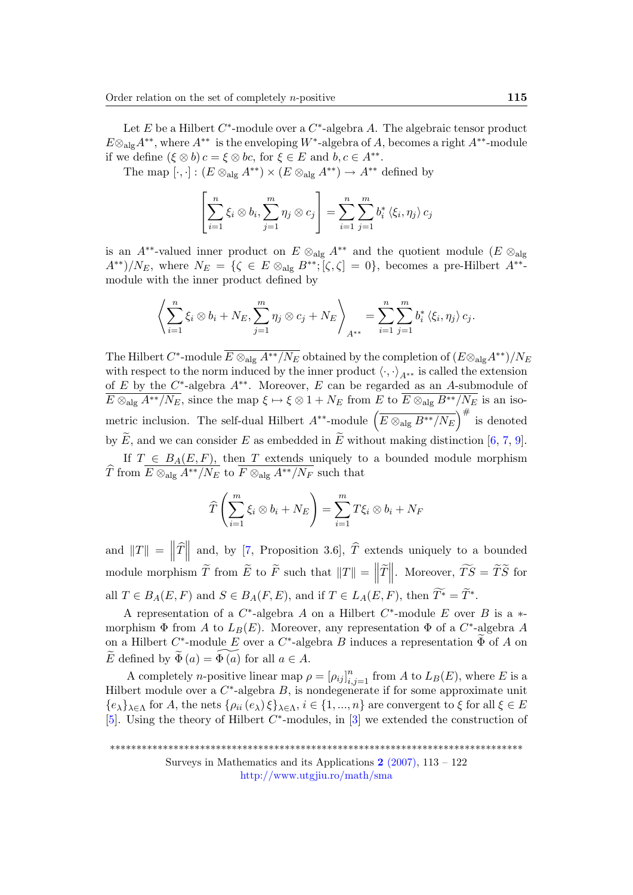Let E be a Hilbert  $C^*$ -module over a  $C^*$ -algebra A. The algebraic tensor product  $E \otimes_{\text{alg}} A^{**}$ , where  $A^{**}$  is the enveloping  $W^*$ -algebra of A, becomes a right  $A^{**}$ -module if we define  $(\xi \otimes b)c = \xi \otimes bc$ , for  $\xi \in E$  and  $b, c \in A^{**}$ .

The map  $[\cdot, \cdot] : (E \otimes_{\text{alg}} A^{**}) \times (E \otimes_{\text{alg}} A^{**}) \to A^{**}$  defined by

$$
\left[\sum_{i=1}^n \xi_i \otimes b_i, \sum_{j=1}^m \eta_j \otimes c_j\right] = \sum_{i=1}^n \sum_{j=1}^m b_i^* \langle \xi_i, \eta_j \rangle c_j
$$

is an A<sup>\*\*</sup>-valued inner product on  $E \otimes_{\text{alg}} A^{**}$  and the quotient module  $(E \otimes_{\text{alg}} A^*)$  $A^{**}$ )/ $N_E$ , where  $N_E = \{ \zeta \in E \otimes_{\text{alg}} B^{**}; [\zeta, \zeta] = 0 \}$ , becomes a pre-Hilbert  $A^{**}$ module with the inner product defined by

$$
\left\langle \sum_{i=1}^n \xi_i \otimes b_i + N_E, \sum_{j=1}^m \eta_j \otimes c_j + N_E \right\rangle_{A^{**}} = \sum_{i=1}^n \sum_{j=1}^m b_i^* \left\langle \xi_i, \eta_j \right\rangle c_j.
$$

The Hilbert  $C^*$ -module  $\overline{E\otimes_{\text{alg}} A^{**}/N_E}$  obtained by the completion of  $(E\otimes_{\text{alg}} A^{**})/N_E$ with respect to the norm induced by the inner product  $\langle \cdot, \cdot \rangle_{A^{**}}$  is called the extension of E by the  $C^*$ -algebra  $A^{**}$ . Moreover, E can be regarded as an A-submodule of  $E \otimes_{\text{alg}} A^{**}/N_E$ , since the map  $\xi \mapsto \xi \otimes 1 + N_E$  from E to  $\overline{E \otimes_{\text{alg}}} B^{**}/N_E$  is an isometric inclusion. The self-dual Hilbert  $A^{**}$ -module  $\left(\overline{E \otimes_{\text{alg}}} B^{**}/N_E \right)^{\#}$  is denoted by  $\widetilde{E}$ , and we can consider E as embedded in  $\widetilde{E}$  without making distinction [\[6,](#page-9-4) [7,](#page-9-3) [9\]](#page-9-5).

If  $T \in B_A(E, F)$ , then T extends uniquely to a bounded module morphism The from  $\overline{E \otimes_{\text{alg}} A^{**}/N_E}$  to  $\overline{F \otimes_{\text{alg}} A^{**}/N_F}$  such that

$$
\widehat{T}\left(\sum_{i=1}^m \xi_i \otimes b_i + N_E\right) = \sum_{i=1}^m T\xi_i \otimes b_i + N_F
$$

and  $||T|| = ||\hat{T}||$  and, by [\[7,](#page-9-3) Proposition 3.6],  $\hat{T}$  extends uniquely to a bounded  $\frac{1}{2}$ module morphism  $\widetilde{T}$  from  $\widetilde{E}$  to  $\widetilde{F}$  such that  $||T|| = ||\widetilde{T}||$ . Moreover,  $\widetilde{TS} = \widetilde{T}\widetilde{S}$  for all  $T \in B_A(E, F)$  and  $S \in B_A(F, E)$ , and if  $T \in L_A(E, F)$ , then  $T^* = \widetilde{T}^*$ .

A representation of a  $C^*$ -algebra A on a Hilbert  $C^*$ -module E over B is a  $*$ morphism  $\Phi$  from A to  $L_B(E)$ . Moreover, any representation  $\Phi$  of a  $C^*$ -algebra A on a Hilbert  $C^*$ -module E over a  $C^*$ -algebra B induces a representation  $\widetilde{\Phi}$  of A on  $\widetilde{E}$  defined by  $\widetilde{\Phi}(a) = \widetilde{\Phi(a)}$  for all  $a \in A$ .

A completely *n*-positive linear map  $\rho = [\rho_{ij}]_{i,j=1}^n$  from A to  $L_B(E)$ , where E is a Hilbert module over a  $C^*$ -algebra  $B$ , is nondegenerate if for some approximate unit  ${e_{\lambda}}_{\lambda \in \Lambda}$  for A, the nets  $\{\rho_{ii}(e_{\lambda})\xi\}_{\lambda \in \Lambda}$ ,  $i \in \{1, ..., n\}$  are convergent to  $\xi$  for all  $\xi \in E$ [\[5\]](#page-9-2). Using the theory of Hilbert  $C^*$ -modules, in [\[3\]](#page-9-6) we extended the construction of

<sup>\*\*\*\*\*\*\*\*\*\*\*\*\*\*\*\*\*\*\*\*\*\*\*\*\*\*\*\*\*\*\*\*\*\*\*\*\*\*\*\*\*\*\*\*\*\*\*\*\*\*\*\*\*\*\*\*\*\*\*\*\*\*\*\*\*\*\*\*\*\*\*\*\*\*\*\*\*\*</sup>

Surveys in Mathematics and its Applications  $2(2007)$ , 113 – 122 <http://www.utgjiu.ro/math/sma>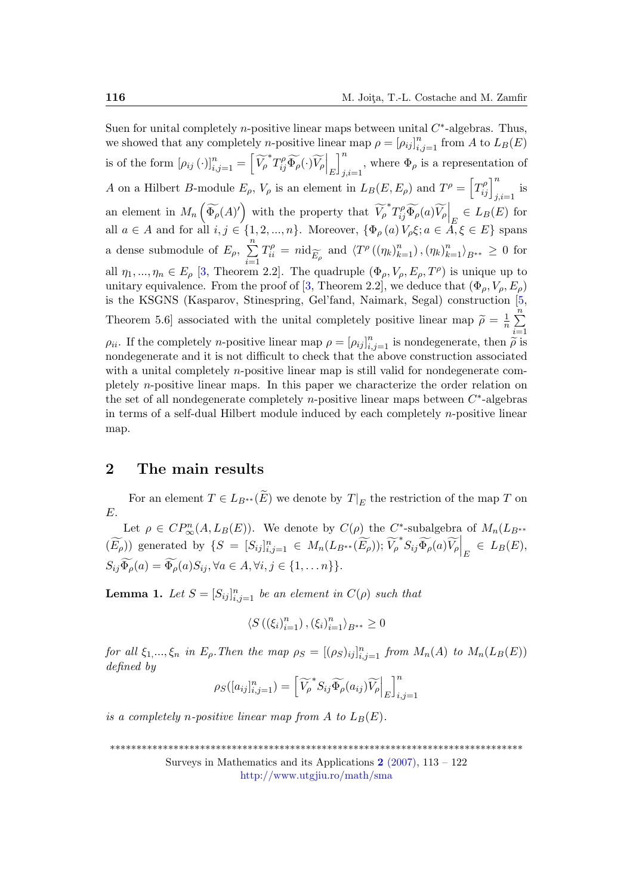Suen for unital completely *n*-positive linear maps between unital  $C^*$ -algebras. Thus, we showed that any completely *n*-positive linear map  $\rho = [\rho_{ij}]_{i,j=1}^n$  from A to  $L_B(E)$ is of the form  $[\rho_{ij}(\cdot)]_{i,j=1}^n = \left[ \widetilde{V_\rho}^* T_{ij}^\rho \widetilde{\Phi_\rho}(\cdot) \widetilde{V_\rho} \right]_E$  $\lceil$ <sup>n</sup>  $j,i=1$ , where  $\Phi_{\rho}$  is a representation of A on a Hilbert B-module  $E_{\rho}$ ,  $V_{\rho}$  is an element in  $L_B(E, E_{\rho})$  and  $T^{\rho} = \left[T_{ij}^{\rho}\right]_{j,i=1}^n$  is an element in  $M_n\left(\widetilde{\Phi_\rho}(A)'\right)$  with the property that  $\widetilde{V_\rho}^*T_{ij}^\rho\widetilde{\Phi_\rho}(a)\widetilde{V_\rho}\Big|_E \in L_B(E)$  for all  $a \in A$  and for all  $i, j \in \{1, 2, ..., n\}$ . Moreover,  $\{\Phi_{\rho}(a) V_{\rho} \xi; a \in A, \xi \in E\}$  spans a dense submodule of  $E_{\rho}$ ,  $\sum_{n=1}^{\infty}$  $i=1$  $T_{ii}^{\rho}$ in the property that  $V_{\rho} T_{ij}^r \Phi_{\rho}(a) V_{\rho} \Big|_E \in L_B(E)$  for  $\ldots, n$ . Moreover,  $\{\Phi_{\rho}(a) V_{\rho} \xi; a \in A, \xi \in E\}$  spans  $\Phi_{ii}^{\rho} = n \mathrm{id}_{\widetilde{E}_{\rho}}$  and  $\langle T^{\rho}((\eta_k)_{k=1}^n), (\eta_k)_{k=1}^n \rangle_{B^{**}} \geq 0$  for all  $\eta_1, ..., \eta_n \in E_\rho$  [\[3,](#page-9-6) Theorem 2.2]. The quadruple  $(\Phi_\rho, V_\rho, E_\rho, T^\rho)$  is unique up to unitary equivalence. From the proof of [\[3,](#page-9-6) Theorem 2.2], we deduce that  $(\Phi_{\rho}, V_{\rho}, E_{\rho})$ is the KSGNS (Kasparov, Stinespring, Gel'fand, Naimark, Segal) construction [\[5,](#page-9-2) Theorem 5.6] associated with the unital completely positive linear map  $\tilde{\rho} = \frac{1}{n}$  $\frac{1}{n}$  $\sum_{n=1}^{n}$  $i=1$  $\rho_{ii}$ . If the completely *n*-positive linear map  $\rho = [\rho_{ij}]_{i,j=1}^n$  is nondegenerate, then  $\tilde{\rho}$  is nondegenerate and it is not difficult to shock that the above construction associated nondegenerate and it is not difficult to check that the above construction associated with a unital completely *n*-positive linear map is still valid for nondegenerate completely n-positive linear maps. In this paper we characterize the order relation on the set of all nondegenerate completely *n*-positive linear maps between  $C^*$ -algebras in terms of a self-dual Hilbert module induced by each completely n-positive linear map.

## 2 The main results

For an element  $T \in L_{B^{**}}(E)$  we denote by  $T|_E$  the restriction of the map T on E.

Let  $\rho \in CP^n_{\infty}(A, L_B(E))$ . We denote by  $C(\rho)$  the C<sup>\*</sup>-subalgebra of  $M_n(L_{B^{**}})$  $(\widetilde{E_{\rho}})$  generated by  $\{S = [S_{ij}]_{i,j=1}^n \in M_n(L_{B^{**}}(\widetilde{E_{\rho}})); \widetilde{V_{\rho}}^* S_{ij} \widetilde{\Phi_{\rho}}(a) \widetilde{V_{\rho}} \Big|_E \in L_B(E),$  $S_{ij}\widetilde{\Phi}_o(a) = \widetilde{\Phi}_o(a)S_{ij}, \forall a \in A, \forall i, j \in \{1, \dots, n\}\}.$ 

<span id="page-3-0"></span>**Lemma 1.** Let  $S = [S_{ij}]_{i,j=1}^n$  be an element in  $C(\rho)$  such that

$$
\langle S\left(\left(\xi_i\right)_{i=1}^n\right), \left(\xi_i\right)_{i=1}^n \rangle_{B^{**}} \ge 0
$$

for all  $\xi_1,...,\xi_n$  in  $E_\rho$ . Then the map  $\rho_S = [(\rho_S)_{ij}]_{i,j=1}^n$  from  $M_n(A)$  to  $M_n(L_B(E))$ defined by

$$
\rho_S([a_{ij}]_{i,j=1}^n) = \left[ \widetilde{V_{\rho}}^* S_{ij} \widetilde{\Phi_{\rho}}(a_{ij}) \widetilde{V_{\rho}} \Big|_E \right]_{i,j=1}^n
$$

is a completely n-positive linear map from A to  $L_B(E)$ .

\*\*\*\*\*\*\*\*\*\*\*\*\*\*\*\*\*\*\*\*\*\*\*\*\*\*\*\*\*\*\*\*\*\*\*\*\*\*\*\*\*\*\*\*\*\*\*\*\*\*\*\*\*\*\*\*\*\*\*\*\*\*\*\*\*\*\*\*\*\*\*\*\*\*\*\*\*\*

Surveys in Mathematics and its Applications  $2(2007)$ ,  $113 - 122$ <http://www.utgjiu.ro/math/sma>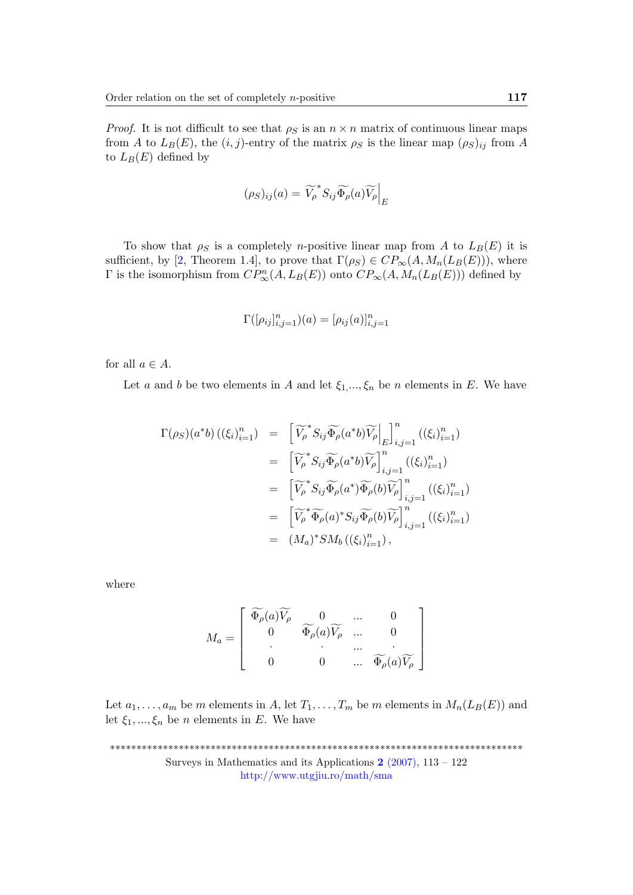*Proof.* It is not difficult to see that  $\rho_S$  is an  $n \times n$  matrix of continuous linear maps from A to  $L_B(E)$ , the  $(i, j)$ -entry of the matrix  $\rho_S$  is the linear map  $(\rho_S)_{ij}$  from A to  $L_B(E)$  defined by

$$
(\rho_S)_{ij}(a) = \widetilde{V_\rho}^* S_{ij} \widetilde{\Phi_\rho}(a) \widetilde{V_\rho} \Big|_E
$$

To show that  $\rho_S$  is a completely *n*-positive linear map from A to  $L_B(E)$  it is sufficient, by [\[2,](#page-9-7) Theorem 1.4], to prove that  $\Gamma(\rho_S) \in CP_{\infty}(A, M_n(L_B(E))),$  where  $\Gamma$  is the isomorphism from  $CP^n_{\infty}(A, L_B(E))$  onto  $CP_{\infty}(A, M_n(L_B(E)))$  defined by

$$
\Gamma([\rho_{ij}]_{i,j=1}^n)(a) = [\rho_{ij}(a)]_{i,j=1}^n
$$

for all  $a \in A$ .

Let a and b be two elements in A and let  $\xi_1, ..., \xi_n$  be n elements in E. We have

$$
\Gamma(\rho_S)(a^*b) \left( (\xi_i)_{i=1}^n \right) = \left[ \widetilde{V_{\rho}}^* S_{ij} \widetilde{\Phi_{\rho}}(a^*b) \widetilde{V_{\rho}} \Big|_E \right]_{i,j=1}^n \left( (\xi_i)_{i=1}^n \right)
$$
  
\n
$$
= \left[ \widetilde{V_{\rho}}^* S_{ij} \widetilde{\Phi_{\rho}}(a^*b) \widetilde{V_{\rho}} \right]_{i,j=1}^n \left( (\xi_i)_{i=1}^n \right)
$$
  
\n
$$
= \left[ \widetilde{V_{\rho}}^* S_{ij} \widetilde{\Phi_{\rho}}(a^*) \widetilde{\Phi_{\rho}}(b) \widetilde{V_{\rho}} \right]_{i,j=1}^n \left( (\xi_i)_{i=1}^n \right)
$$
  
\n
$$
= \left[ \widetilde{V_{\rho}}^* \widetilde{\Phi_{\rho}}(a)^* S_{ij} \widetilde{\Phi_{\rho}}(b) \widetilde{V_{\rho}} \right]_{i,j=1}^n \left( (\xi_i)_{i=1}^n \right)
$$
  
\n
$$
= (M_a)^* S M_b \left( (\xi_i)_{i=1}^n \right),
$$

where

$$
M_a = \begin{bmatrix} \widetilde{\Phi_{\rho}}(a)\widetilde{V_{\rho}} & 0 & \cdots & 0 \\ 0 & \widetilde{\Phi_{\rho}}(a)\widetilde{V_{\rho}} & \cdots & 0 \\ \vdots & \vdots & \ddots & \vdots \\ 0 & 0 & \cdots & \widetilde{\Phi_{\rho}}(a)\widetilde{V_{\rho}} \end{bmatrix}
$$

Let  $a_1, \ldots, a_m$  be m elements in A, let  $T_1, \ldots, T_m$  be m elements in  $M_n(L_B(E))$  and let  $\xi_1, ..., \xi_n$  be *n* elements in *E*. We have

\*\*\*\*\*\*\*\*\*\*\*\*\*\*\*\*\*\*\*\*\*\*\*\*\*\*\*\*\*\*\*\*\*\*\*\*\*\*\*\*\*\*\*\*\*\*\*\*\*\*\*\*\*\*\*\*\*\*\*\*\*\*\*\*\*\*\*\*\*\*\*\*\*\*\*\*\*\* Surveys in Mathematics and its Applications  $2(2007)$ , 113 – 122 <http://www.utgjiu.ro/math/sma>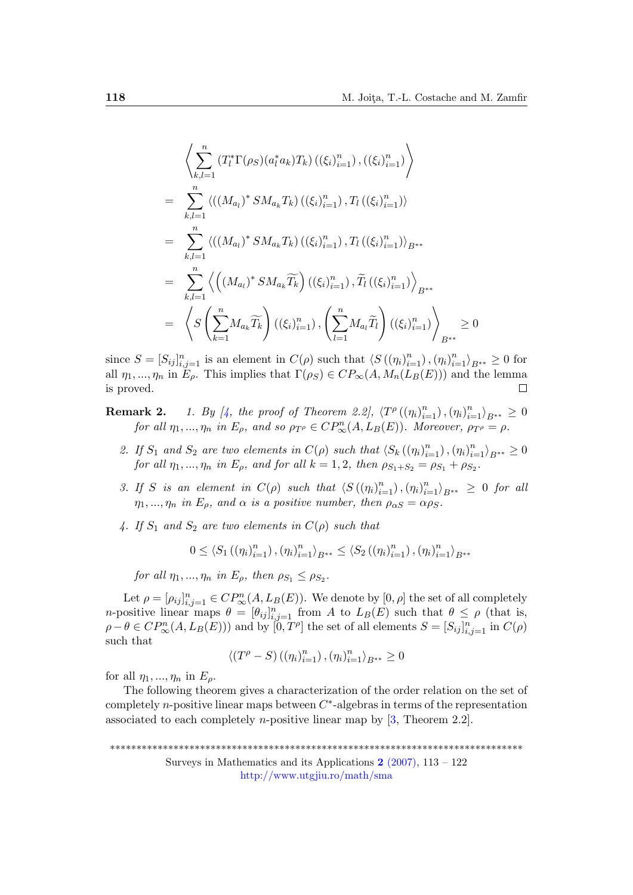$$
\left\langle \sum_{k,l=1}^{n} \left( T_{l}^{*} \Gamma(\rho_{S}) (a_{l}^{*} a_{k}) T_{k} \right) \left( \left( \xi_{i} \right)_{i=1}^{n} \right), \left( \left( \xi_{i} \right)_{i=1}^{n} \right) \right\rangle
$$
\n
$$
= \sum_{k,l=1}^{n} \left\langle \left( \left( M_{a_{l}} \right)^{*} S M_{a_{k}} T_{k} \right) \left( \left( \xi_{i} \right)_{i=1}^{n} \right), T_{l} \left( \left( \xi_{i} \right)_{i=1}^{n} \right) \right\rangle
$$
\n
$$
= \sum_{k,l=1}^{n} \left\langle \left( \left( M_{a_{l}} \right)^{*} S M_{a_{k}} T_{k} \right) \left( \left( \xi_{i} \right)_{i=1}^{n} \right), T_{l} \left( \left( \xi_{i} \right)_{i=1}^{n} \right) \right\rangle_{B^{**}}
$$
\n
$$
= \sum_{k,l=1}^{n} \left\langle \left( \left( M_{a_{l}} \right)^{*} S M_{a_{k}} \widetilde{T_{k}} \right) \left( \left( \xi_{i} \right)_{i=1}^{n} \right), \widetilde{T}_{l} \left( \left( \xi_{i} \right)_{i=1}^{n} \right) \right\rangle_{B^{**}}
$$
\n
$$
= \left\langle S \left( \sum_{k=1}^{n} M_{a_{k}} \widetilde{T_{k}} \right) \left( \left( \xi_{i} \right)_{i=1}^{n} \right), \left( \sum_{l=1}^{n} M_{a_{l}} \widetilde{T_{l}} \right) \left( \left( \xi_{i} \right)_{i=1}^{n} \right) \right\rangle_{B^{**}}
$$
\n
$$
\geq 0
$$

since  $S = [S_{ij}]_{i,j=1}^n$  is an element in  $C(\rho)$  such that  $\langle S(\eta_i)_{i=1}^n \rangle, \langle \eta_i \rangle_{i=1}^n \rangle_{B^{**}} \geq 0$  for all  $\eta_1, ..., \eta_n$  in  $E_\rho$ . This implies that  $\Gamma(\rho_S) \in CP_{\infty}(A, M_n(L_B(E)))$  and the lemma is proved.  $\Box$ 

<span id="page-5-0"></span>**Remark 2.** 1. By [\[4,](#page-9-1) the proof of Theorem 2.2],  $\langle T^{\rho} ((\eta_i)_{i=1}^n), (\eta_i)_{i=1}^n \rangle_{B^{**}} \geq 0$ for all  $\eta_1, ..., \eta_n$  in  $E_\rho$ , and so  $\rho_{T^\rho} \in CP^n_\infty(A, L_B(E))$ . Moreover,  $\rho_{T^\rho} = \rho$ .

- 2. If  $S_1$  and  $S_2$  are two elements in  $C(\rho)$  such that  $\langle S_k((\eta_i)_{i=1}^n), (\eta_i)_{i=1}^n \rangle_{B^{**}} \geq 0$ for all  $\eta_1, ..., \eta_n$  in  $E_\rho$ , and for all  $k = 1, 2$ , then  $\rho_{S_1+S_2} = \rho_{S_1} + \rho_{S_2}$ .
- 3. If S is an element in  $C(\rho)$  such that  $\langle S((\eta_i)_{i=1}^n), (\eta_i)_{i=1}^n \rangle_{B^{**}} \geq 0$  for all  $\eta_1, ..., \eta_n$  in  $E_\rho$ , and  $\alpha$  is a positive number, then  $\rho_{\alpha S} = \alpha \rho_S$ .
- 4. If  $S_1$  and  $S_2$  are two elements in  $C(\rho)$  such that

$$
0 \leq \langle S_1((\eta_i)_{i=1}^n), (\eta_i)_{i=1}^n \rangle_{B^{**}} \leq \langle S_2((\eta_i)_{i=1}^n), (\eta_i)_{i=1}^n \rangle_{B^{**}}
$$

for all  $\eta_1, ..., \eta_n$  in  $E_\rho$ , then  $\rho_{S_1} \leq \rho_{S_2}$ .

Let  $\rho = [\rho_{ij}]_{i,j=1}^n \in CP_{\infty}^n(A, L_B(E))$ . We denote by  $[0, \rho]$  the set of all completely *n*-positive linear maps  $\theta = [\theta_{ij}]_{i,j=1}^n$  from A to  $L_B(E)$  such that  $\theta \le \rho$  (that is,  $\rho - \theta \in CP^n_{\infty}(A, L_B(E))$  and by  $[0, T^{\rho}]$  the set of all elements  $S = [S_{ij}]_{i,j=1}^n$  in  $C(\rho)$ such that

$$
\left\langle \left(T^\rho - S\right) \left( \left(\eta_i \right)_{i=1}^n \right), \left(\eta_i \right)_{i=1}^n \right\rangle_{B^{**}} \geq 0
$$

for all  $\eta_1, ..., \eta_n$  in  $E_\rho$ .

The following theorem gives a characterization of the order relation on the set of completely *n*-positive linear maps between  $C^*$ -algebras in terms of the representation associated to each completely *n*-positive linear map by  $[3,$  Theorem 2.2].

\*\*\*\*\*\*\*\*\*\*\*\*\*\*\*\*\*\*\*\*\*\*\*\*\*\*\*\*\*\*\*\*\*\*\*\*\*\*\*\*\*\*\*\*\*\*\*\*\*\*\*\*\*\*\*\*\*\*\*\*\*\*\*\*\*\*\*\*\*\*\*\*\*\*\*\*\*\*

Surveys in Mathematics and its Applications  $2(2007)$ , 113 – 122 <http://www.utgjiu.ro/math/sma>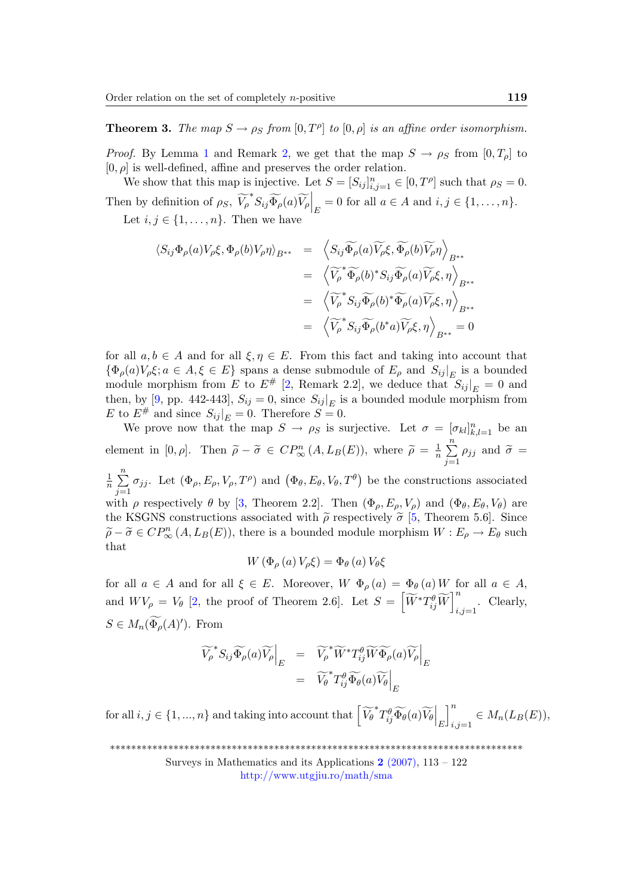**Theorem 3.** The map  $S \to \rho_S$  from  $[0, T^{\rho}]$  to  $[0, \rho]$  is an affine order isomorphism.

*Proof.* By Lemma [1](#page-3-0) and Remark [2,](#page-5-0) we get that the map  $S \to \rho_S$  from  $[0, T_o]$  to  $[0, \rho]$  is well-defined, affine and preserves the order relation.

We show that this map is injective. Let  $S = [S_{ij}]_{i,j=1}^n \in [0, T^{\rho}]$  such that  $\rho_S = 0$ . Then by definition of  $\rho_S$ ,  $\widetilde{V_\rho}^* S_{ij} \widetilde{\Phi_\rho}(a) \widetilde{V_\rho} \Big|_E = 0$  for all  $a \in A$  and  $i, j \in \{1, ..., n\}$ . Let  $i, j \in \{1, \ldots, n\}$ . Then we have

$$
\langle S_{ij}\Phi_{\rho}(a)V_{\rho}\xi,\Phi_{\rho}(b)V_{\rho}\eta\rangle_{B^{**}} = \left\langle S_{ij}\widetilde{\Phi_{\rho}}(a)\widetilde{V_{\rho}}\xi,\widetilde{\Phi_{\rho}}(b)\widetilde{V_{\rho}}\eta\right\rangle_{B^{**}}
$$
  

$$
= \left\langle \widetilde{V_{\rho}}^* \widetilde{\Phi_{\rho}}(b)^* S_{ij} \widetilde{\Phi_{\rho}}(a)\widetilde{V_{\rho}}\xi,\eta\right\rangle_{B^{**}}
$$
  

$$
= \left\langle \widetilde{V_{\rho}}^* S_{ij} \widetilde{\Phi_{\rho}}(b)^* \widetilde{\Phi_{\rho}}(a)\widetilde{V_{\rho}}\xi,\eta\right\rangle_{B^{**}}
$$
  

$$
= \left\langle \widetilde{V_{\rho}}^* S_{ij} \widetilde{\Phi_{\rho}}(b^*a)\widetilde{V_{\rho}}\xi,\eta\right\rangle_{B^{**}} = 0
$$

for all  $a, b \in A$  and for all  $\xi, \eta \in E$ . From this fact and taking into account that  $\{\Phi_{\rho}(a)V_{\rho}\xi; a \in A, \xi \in E\}$  spans a dense submodule of  $E_{\rho}$  and  $S_{ij}|_E$  is a bounded module morphism from E to  $E^{\#}$  [\[2,](#page-9-7) Remark 2.2], we deduce that  $S_{ij}|_{E} = 0$  and then, by [\[9,](#page-9-5) pp. 442-443],  $S_{ij} = 0$ , since  $S_{ij}|_E$  is a bounded module morphism from E to  $E^{\#}$  and since  $S_{ij}|_{E} = 0$ . Therefore  $S = 0$ .

We prove now that the map  $S \to \rho_S$  is surjective. Let  $\sigma = [\sigma_{kl}]_{k,l=1}^n$  be an element in [0,  $\rho$ ]. Then  $\tilde{\rho} - \tilde{\sigma} \in CP^{n}_{\infty}(A, L_B(E))$ , where  $\tilde{\rho} = \frac{1}{n}$  $\frac{1}{n}$  $\sum_{n=1}^{n}$  $\sum_{j=1} \rho_{jj}$  and  $\widetilde{\sigma} =$ 

1  $\frac{1}{n}$  $\sum_{n=1}^{n}$  $j=1$  $\sigma_{jj}$ . Let  $(\Phi_{\rho}, E_{\rho}, V_{\rho}, T^{\rho})$  and  $(\Phi_{\theta}, E_{\theta}, V_{\theta}, T^{\theta})$  be the constructions associated with  $\rho$  respectively  $\theta$  by [\[3,](#page-9-6) Theorem 2.2]. Then  $(\Phi_{\rho}, E_{\rho}, V_{\rho})$  and  $(\Phi_{\theta}, E_{\theta}, V_{\theta})$  are the KSGNS constructions associated with  $\tilde{\rho}$  respectively  $\tilde{\sigma}$  [\[5,](#page-9-2) Theorem 5.6]. Since  $\widetilde{\rho} - \widetilde{\sigma} \in CP^n_{\infty}(A, L_B(E))$ , there is a bounded module morphism  $W : E_{\rho} \to E_{\theta}$  such that that

$$
W\left(\Phi_{\rho}\left(a\right)V_{\rho}\xi\right)=\Phi_{\theta}\left(a\right)V_{\theta}\xi
$$

for all  $a \in A$  and for all  $\xi \in E$ . Moreover,  $W \Phi_{\rho}(a) = \Phi_{\theta}(a) W$  for all  $a \in A$ , and  $W V_{\rho} = V_{\theta}$  [\[2,](#page-9-7) the proof of Theorem 2.6]. Let  $S = \left[ \widetilde{W}^{*} T_{ij}^{\theta} \widetilde{W} \right]_{i,j}^{n}$  $i,j=1$  Clearly,  $S \in M_n(\widetilde{\Phi}_{\rho}(A))$ . From

$$
\widetilde{V_{\rho}}^* S_{ij} \widetilde{\Phi}_{\rho}(a) \widetilde{V_{\rho}} \Big|_{E} = \widetilde{V_{\rho}}^* \widetilde{W}^* T_{ij}^{\theta} \widetilde{W} \widetilde{\Phi}_{\rho}(a) \widetilde{V_{\rho}} \Big|_{E}
$$

$$
= \widetilde{V_{\theta}}^* T_{ij}^{\theta} \widetilde{\Phi}_{\theta}(a) \widetilde{V_{\theta}} \Big|_{E}
$$

for all  $i, j \in \{1, ..., n\}$  and taking into account that  $\left\lceil \widetilde{V}_{\theta}^* T_{ij}^{\theta} \widetilde{\Phi}_{\theta}(a) \widetilde{V}_{\theta} \right\rceil_{E}$  $\mathbb{I}^n$  $_{i,j=1} \in M_n(L_B(E)),$ 

\*\*\*\*\*\*\*\*\*\*\*\*\*\*\*\*\*\*\*\*\*\*\*\*\*\*\*\*\*\*\*\*\*\*\*\*\*\*\*\*\*\*\*\*\*\*\*\*\*\*\*\*\*\*\*\*\*\*\*\*\*\*\*\*\*\*\*\*\*\*\*\*\*\*\*\*\*\*

Surveys in Mathematics and its Applications  $2(2007)$ , 113 – 122 <http://www.utgjiu.ro/math/sma>

 $\overline{0}$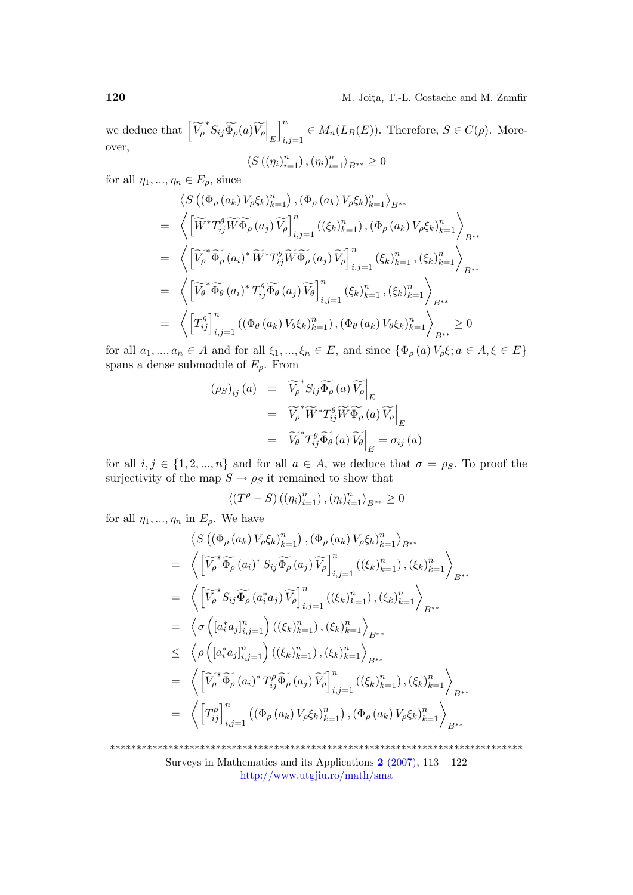we deduce that  $\left. \left[ \widetilde{V}_{\rho}^{*} S_{ij} \widetilde{\Phi}_{\rho}(a) \widetilde{V}_{\rho} \right]_{E} \right.$  $\vert^n$  $i,j=1} \in M_n(L_B(E))$ . Therefore,  $S \in C(\rho)$ . Moreover, n n

$$
\langle S\left(\left(\eta_i\right)_{i=1}^n\right),\left(\eta_i\right)_{i=1}^n\rangle_{B^{**}}\geq 0
$$

for all  $\eta_1, ..., \eta_n \in E_\rho$ , since

$$
\langle S\left((\Phi_{\rho}(a_{k})V_{\rho}\xi_{k})_{k=1}^{n}\right),(\Phi_{\rho}(a_{k})V_{\rho}\xi_{k})_{k=1}^{n}\rangle_{B^{**}}
$$
\n
$$
= \left\langle \left[\widetilde{W}^{*}T_{ij}^{\theta}\widetilde{W}\widetilde{\Phi}_{\rho}(a_{j})\widetilde{V}_{\rho}\right]_{i,j=1}^{n}((\xi_{k})_{k=1}^{n}),(\Phi_{\rho}(a_{k})V_{\rho}\xi_{k})_{k=1}^{n}\right\rangle_{B^{**}}
$$
\n
$$
= \left\langle \left[\widetilde{V}_{\rho}^{*}\widetilde{\Phi}_{\rho}(a_{i})^{*}\widetilde{W}^{*}T_{ij}^{\theta}\widetilde{W}\widetilde{\Phi}_{\rho}(a_{j})\widetilde{V}_{\rho}\right]_{i,j=1}^{n}(\xi_{k})_{k=1}^{n},(\xi_{k})_{k=1}^{n}\right\rangle_{B^{**}}
$$
\n
$$
= \left\langle \left[\widetilde{V}_{\theta}^{*}\widetilde{\Phi}_{\theta}(a_{i})^{*}T_{ij}^{\theta}\widetilde{\Phi}_{\theta}(a_{j})\widetilde{V}_{\theta}\right]_{i,j=1}^{n}(\xi_{k})_{k=1}^{n},(\xi_{k})_{k=1}^{n}\right\rangle_{B^{**}}
$$
\n
$$
= \left\langle \left[T_{ij}^{\theta}\right]_{i,j=1}^{n}((\Phi_{\theta}(a_{k})V_{\theta}\xi_{k})_{k=1}^{n}),(\Phi_{\theta}(a_{k})V_{\theta}\xi_{k})_{k=1}^{n}\right\rangle_{B^{**}} \geq 0
$$

for all  $a_1, ..., a_n \in A$  and for all  $\xi_1, ..., \xi_n \in E$ , and since  $\{\Phi_\rho(a)V_\rho \xi; a \in A, \xi \in E\}$ spans a dense submodule of  $E_{\rho}$ . From

$$
(\rho_S)_{ij}(a) = \widetilde{V_{\rho}}^* S_{ij} \widetilde{\Phi_{\rho}}(a) \widetilde{V_{\rho}} \Big|_E
$$
  

$$
= \widetilde{V_{\rho}}^* \widetilde{W}^* T_{ij}^{\theta} \widetilde{W} \widetilde{\Phi_{\rho}}(a) \widetilde{V_{\rho}} \Big|_E
$$
  

$$
= \widetilde{V_{\theta}}^* T_{ij}^{\theta} \widetilde{\Phi_{\theta}}(a) \widetilde{V_{\theta}} \Big|_E = \sigma_{ij}(a)
$$

for all  $i, j \in \{1, 2, ..., n\}$  and for all  $a \in A$ , we deduce that  $\sigma = \rho_S$ . To proof the surjectivity of the map  $S \to \rho_S$  it remained to show that

$$
\langle (T^{\rho}-S) \left( \left(\eta_i\right)_{i=1}^n \right), \left(\eta_i\right)_{i=1}^n \rangle_{B^{**}} \ge 0
$$

for all  $\eta_1, ..., \eta_n$  in  $E_\rho$ . We have

$$
\langle S((\Phi_{\rho}(a_{k})V_{\rho}\xi_{k})_{k=1}^{n}), (\Phi_{\rho}(a_{k})V_{\rho}\xi_{k})_{k=1}^{n}\rangle_{B^{**}}
$$
\n
$$
= \left\langle \left[\widetilde{V}_{\rho}^{*}\widetilde{\Phi}_{\rho}(a_{i})^{*}S_{ij}\widetilde{\Phi}_{\rho}(a_{j})\widetilde{V}_{\rho}\right]_{i,j=1}^{n}((\xi_{k})_{k=1}^{n}), (\xi_{k})_{k=1}^{n}\right\rangle_{B^{**}}
$$
\n
$$
= \left\langle \left[\widetilde{V}_{\rho}^{*}S_{ij}\widetilde{\Phi}_{\rho}(a_{i}^{*}a_{j})\widetilde{V}_{\rho}\right]_{i,j=1}^{n}((\xi_{k})_{k=1}^{n}), (\xi_{k})_{k=1}^{n}\right\rangle_{B^{**}}
$$
\n
$$
= \left\langle \sigma\left([a_{i}^{*}a_{j}]_{i,j=1}^{n}\right)((\xi_{k})_{k=1}^{n}), (\xi_{k})_{k=1}^{n}\right\rangle_{B^{**}}
$$
\n
$$
\leq \left\langle \rho\left([a_{i}^{*}a_{j}]_{i,j=1}^{n}\right)((\xi_{k})_{k=1}^{n}), (\xi_{k})_{k=1}^{n}\right\rangle_{B^{**}}
$$
\n
$$
= \left\langle \left[\widetilde{V}_{\rho}^{*}\widetilde{\Phi}_{\rho}(a_{i})^{*}T_{ij}^{\rho}\widetilde{\Phi}_{\rho}(a_{j})\widetilde{V}_{\rho}\right]_{i,j=1}^{n}((\xi_{k})_{k=1}^{n}), (\xi_{k})_{k=1}^{n}\right\rangle_{B^{**}}
$$
\n
$$
= \left\langle \left[T_{ij}^{\rho}\right]_{i,j=1}^{n}((\Phi_{\rho}(a_{k})V_{\rho}\xi_{k})_{k=1}^{n}), (\Phi_{\rho}(a_{k})V_{\rho}\xi_{k})_{k=1}^{n}\right\rangle_{B^{**}}
$$

\*\*\*\*\*\*\*\*\*\*\*\*\*\*\*\*\*\*\*\*\*\*\*\*\*\*\*\*\*\*\*\*\*\*\*\*\*\*\*\*\*\*\*\*\*\*\*\*\*\*\*\*\*\*\*\*\*\*\*\*\*\*\*\*\*\*\*\*\*\*\*\*\*\*\*\*\*\*

Surveys in Mathematics and its Applications  $2(2007)$ , 113 – 122 <http://www.utgjiu.ro/math/sma>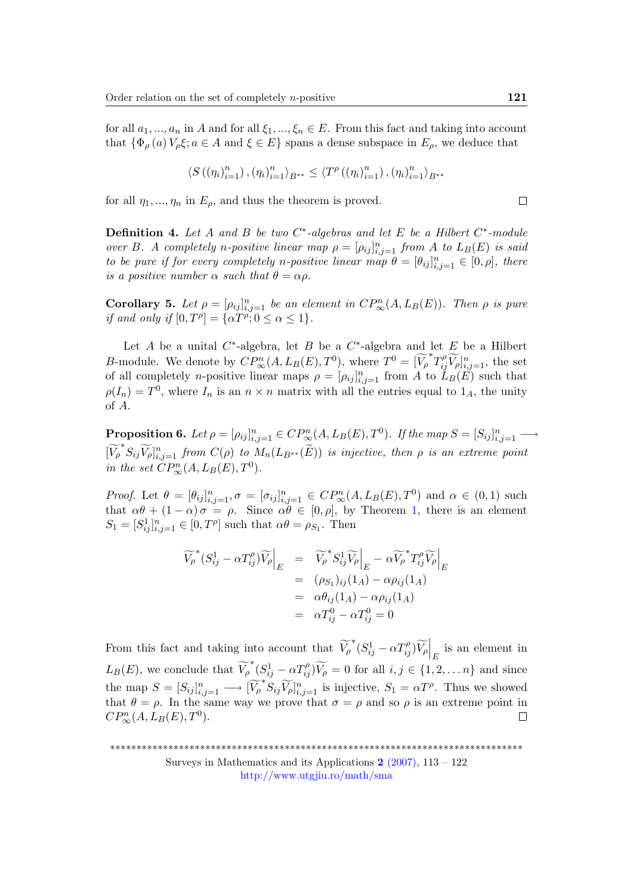for all  $a_1, ..., a_n$  in A and for all  $\xi_1, ..., \xi_n \in E$ . From this fact and taking into account that  $\{\Phi_{\rho}(a)V_{\rho}\xi; a \in A \text{ and } \xi \in E\}$  spans a dense subspace in  $E_{\rho}$ , we deduce that

$$
\left\langle S\left(\left(\eta_i\right)_{i=1}^n\right),\left(\eta_i\right)_{i=1}^n\right\rangle_{B^{**}} \leq \left\langle T^{\rho}\left(\left(\eta_i\right)_{i=1}^n\right),\left(\eta_i\right)_{i=1}^n\right\rangle_{B^{**}}
$$

for all  $\eta_1, ..., \eta_n$  in  $E_\rho$ , and thus the theorem is proved.

**Definition 4.** Let A and B be two  $C^*$ -algebras and let E be a Hilbert  $C^*$ -module over B. A completely n-positive linear map  $\rho = [\rho_{ij}]_{i,j=1}^n$  from A to  $L_B(E)$  is said to be pure if for every completely n-positive linear map  $\theta = [\theta_{ij}]_{i,j=1}^n \in [0,\rho],$  there is a positive number  $\alpha$  such that  $\theta = \alpha \rho$ .

Corollary 5. Let  $\rho = [\rho_{ij}]_{i,j=1}^n$  be an element in  $CP_\infty^n(A, L_B(E))$ . Then  $\rho$  is pure if and only if  $[0, T^{\rho}] = {\alpha T^{\rho}}; 0 \leq \alpha \leq 1$ .

Let A be a unital  $C^*$ -algebra, let B be a  $C^*$ -algebra and let E be a Hilbert B-module. We denote by  $\overrightarrow{CP}^n_{\infty}(A, L_B(E), T^0)$ , where  $T^0 = [\widetilde{V}_{\rho}^* T_{ij}^{\rho} \widetilde{V}_{\rho}]_{i,j=1}^n$ , the set of all completely *n*-positive linear maps  $\rho = [\rho_{ij}]_{i,j=1}^n$  from A to  $\check{L}_B(\check{E})$  such that  $\rho(I_n) = T^0$ , where  $I_n$  is an  $n \times n$  matrix with all the entries equal to  $1_A$ , the unity of A.

**Proposition 6.** Let  $\rho = [\rho_{ij}]_{i,j=1}^n \in CP_{\infty}^n(A, L_B(E), T^0)$ . If the map  $S = [S_{ij}]_{i,j=1}^n \longrightarrow$  $[\widetilde{V_{\rho}}^{*}S_{ij}\widetilde{V_{\rho}}]_{i,j=1}^{n}$  from  $C(\rho)$  to  $M_{n}(L_{B^{**}}(\widetilde{E}))$  is injective, then  $\rho$  is an extreme point in the set  $CP^n_{\infty}(A, L_B(E), T^0)$ .

*Proof.* Let  $\theta = [\theta_{ij}]_{i,j=1}^n$ ,  $\sigma = [\sigma_{ij}]_{i,j=1}^n \in CP_{\infty}^n(A, L_B(E), T^0)$  and  $\alpha \in (0,1)$  such that  $\alpha\theta + (1-\alpha)\sigma = \rho$ . Since  $\alpha\theta \in [0,\rho]$ , by Theorem [1,](#page-3-0) there is an element  $S_1 = [S_{ij}^1]_{i,j=1}^n \in [0, T^{\rho}]$  such that  $\alpha\theta = \rho_{S_1}$ . Then

$$
\widetilde{V_{\rho}}^*(S_{ij}^1 - \alpha T_{ij}^{\rho}) \widetilde{V_{\rho}} \Big|_E = \widetilde{V_{\rho}}^* S_{ij}^1 \widetilde{V_{\rho}} \Big|_E - \alpha \widetilde{V_{\rho}}^* T_{ij}^{\rho} \widetilde{V_{\rho}} \Big|_E
$$
  
\n
$$
= (\rho_{S_1})_{ij} (1_A) - \alpha \rho_{ij} (1_A)
$$
  
\n
$$
= \alpha \theta_{ij} (1_A) - \alpha \rho_{ij} (1_A)
$$
  
\n
$$
= \alpha T_{ij}^0 - \alpha T_{ij}^0 = 0
$$

From this fact and taking into account that  $\widetilde{V}_{\rho}^*(S^1_{ij} - \alpha T_{ij}^{\rho})\widetilde{V}_{\rho}\Big|_E$  is an element in  $L_B(E)$ , we conclude that  $\widetilde{V}_{\rho}^*(S^1_{ij} - \alpha T_{ij}^{\rho}) \widetilde{V}_{\rho} = 0$  for all  $i, j \in \{1, 2, \ldots n\}$  and since the map  $S = [S_{ij}]_{i,j=1}^n \longrightarrow [\widetilde{V}_{\rho}^* S_{ij} \widetilde{V}_{\rho}]_{i,j=1}^n$  is injective,  $S_1 = \alpha T^{\rho}$ . Thus we showed that  $\theta = \rho$ . In the same way we prove that  $\sigma = \rho$  and so  $\rho$  is an extreme point in  $CP_\infty^n(A, L_B(E), T^0).$  $\Box$ 

Surveys in Mathematics and its Applications  $2(2007)$ ,  $113 - 122$ <http://www.utgjiu.ro/math/sma>

 $\Box$ 

<sup>\*\*\*\*\*\*\*\*\*\*\*\*\*\*\*\*\*\*\*\*\*\*\*\*\*\*\*\*\*\*\*\*\*\*\*\*\*\*\*\*\*\*\*\*\*\*\*\*\*\*\*\*\*\*\*\*\*\*\*\*\*\*\*\*\*\*\*\*\*\*\*\*\*\*\*\*\*\*</sup>